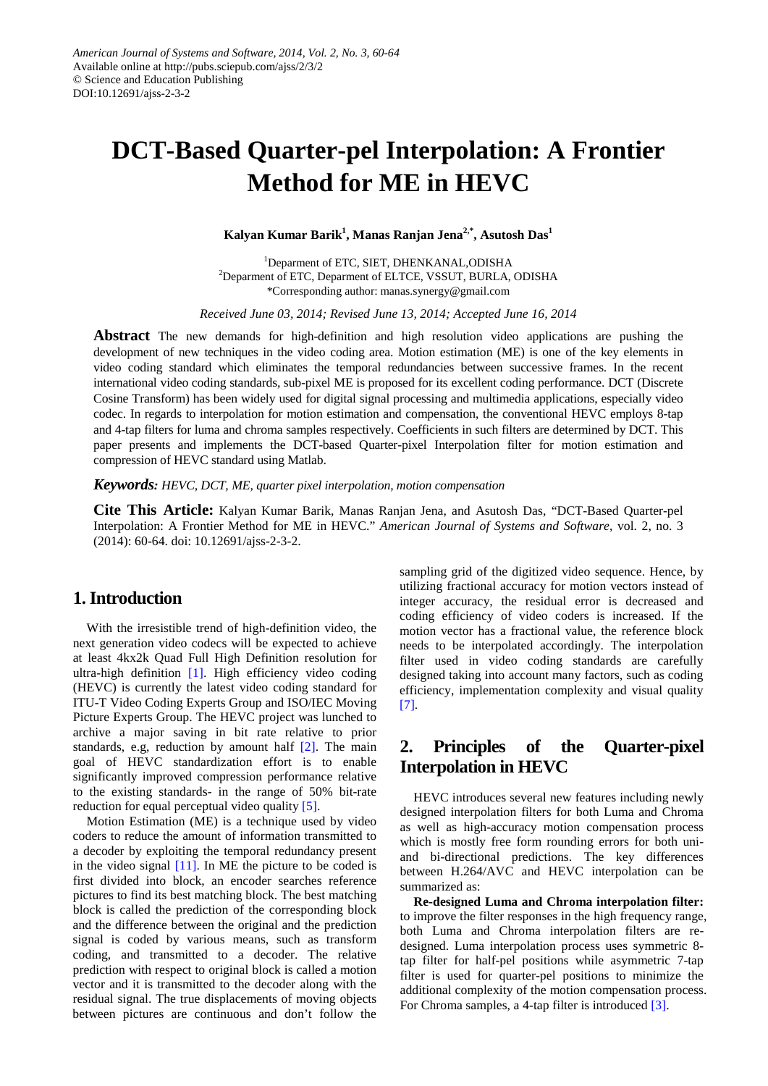# **DCT-Based Quarter-pel Interpolation: A Frontier Method for ME in HEVC**

**Kalyan Kumar Barik1 , Manas Ranjan Jena2,\*, Asutosh Das1**

<sup>1</sup>Deparment of ETC, SIET, DHENKANAL, ODISHA <sup>2</sup>Deparment of ETC, Deparment of ELTCE, VSSUT, BURLA, ODISHA \*Corresponding author: manas.synergy@gmail.com

*Received June 03, 2014; Revised June 13, 2014; Accepted June 16, 2014*

**Abstract** The new demands for high-definition and high resolution video applications are pushing the development of new techniques in the video coding area. Motion estimation (ME) is one of the key elements in video coding standard which eliminates the temporal redundancies between successive frames. In the recent international video coding standards, sub-pixel ME is proposed for its excellent coding performance. DCT (Discrete Cosine Transform) has been widely used for digital signal processing and multimedia applications, especially video codec. In regards to interpolation for motion estimation and compensation, the conventional HEVC employs 8-tap and 4-tap filters for luma and chroma samples respectively. Coefficients in such filters are determined by DCT. This paper presents and implements the DCT-based Quarter-pixel Interpolation filter for motion estimation and compression of HEVC standard using Matlab.

*Keywords: HEVC, DCT, ME, quarter pixel interpolation, motion compensation*

**Cite This Article:** Kalyan Kumar Barik, Manas Ranjan Jena, and Asutosh Das, "DCT-Based Quarter-pel Interpolation: A Frontier Method for ME in HEVC." *American Journal of Systems and Software*, vol. 2, no. 3 (2014): 60-64. doi: 10.12691/ajss-2-3-2.

### **1.Introduction**

With the irresistible trend of high-definition video, the next generation video codecs will be expected to achieve at least 4kx2k Quad Full High Definition resolution for ultra-high definition [\[1\].](#page-3-0) High efficiency video coding (HEVC) is currently the latest video coding standard for ITU-T Video Coding Experts Group and ISO/IEC Moving Picture Experts Group. The HEVC project was lunched to archive a major saving in bit rate relative to prior standards, e.g, reduction by amount half [\[2\].](#page-3-1) The main goal of HEVC standardization effort is to enable significantly improved compression performance relative to the existing standards- in the range of 50% bit-rate reduction for equal perceptual video quality [\[5\].](#page-3-2)

Motion Estimation (ME) is a technique used by video coders to reduce the amount of information transmitted to a decoder by exploiting the temporal redundancy present in the video signal [\[11\].](#page-4-0) In ME the picture to be coded is first divided into block, an encoder searches reference pictures to find its best matching block. The best matching block is called the prediction of the corresponding block and the difference between the original and the prediction signal is coded by various means, such as transform coding, and transmitted to a decoder. The relative prediction with respect to original block is called a motion vector and it is transmitted to the decoder along with the residual signal. The true displacements of moving objects between pictures are continuous and don't follow the

sampling grid of the digitized video sequence. Hence, by utilizing fractional accuracy for motion vectors instead of integer accuracy, the residual error is decreased and coding efficiency of video coders is increased. If the motion vector has a fractional value, the reference block needs to be interpolated accordingly. The interpolation filter used in video coding standards are carefully designed taking into account many factors, such as coding efficiency, implementation complexity and visual quality [\[7\].](#page-3-3)

## **2. Principles of the Quarter-pixel Interpolation in HEVC**

HEVC introduces several new features including newly designed interpolation filters for both Luma and Chroma as well as high-accuracy motion compensation process which is mostly free form rounding errors for both uniand bi-directional predictions. The key differences between H.264/AVC and HEVC interpolation can be summarized as:

**Re-designed Luma and Chroma interpolation filter:** to improve the filter responses in the high frequency range, both Luma and Chroma interpolation filters are redesigned. Luma interpolation process uses symmetric 8 tap filter for half-pel positions while asymmetric 7-tap filter is used for quarter-pel positions to minimize the additional complexity of the motion compensation process. For Chroma samples, a 4-tap filter is introduced [\[3\].](#page-3-4)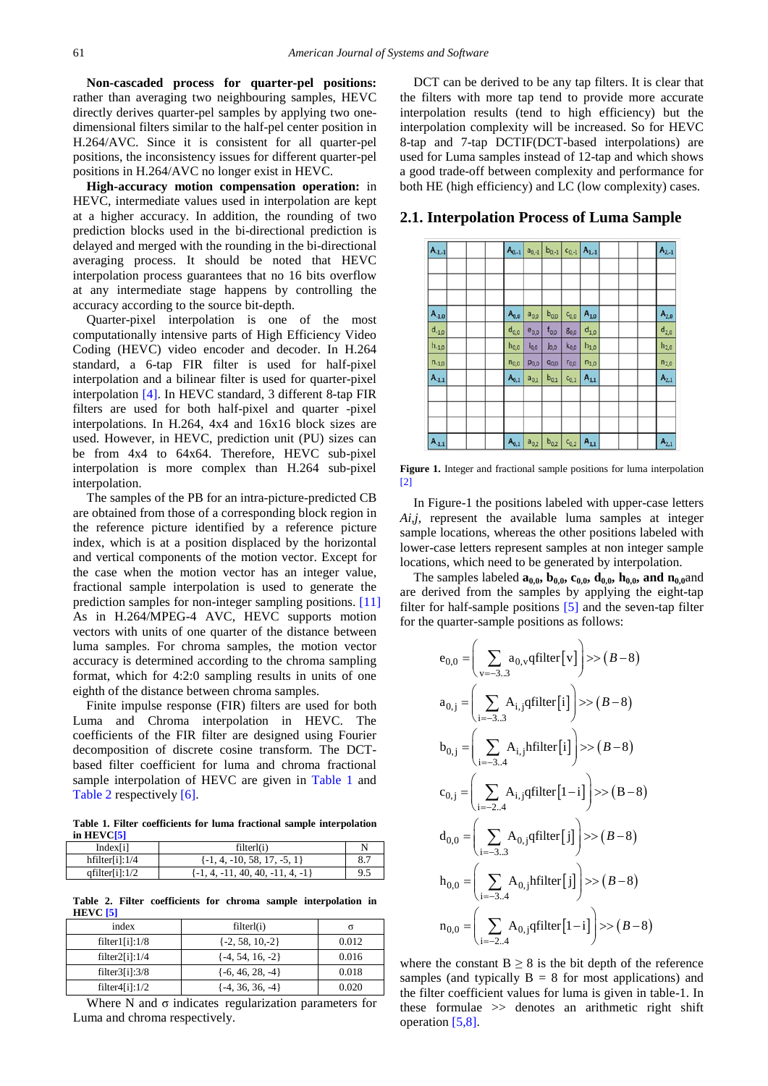**Non-cascaded process for quarter-pel positions:** rather than averaging two neighbouring samples, HEVC directly derives quarter-pel samples by applying two onedimensional filters similar to the half-pel center position in H.264/AVC. Since it is consistent for all quarter-pel positions, the inconsistency issues for different quarter-pel positions in H.264/AVC no longer exist in HEVC.

**High-accuracy motion compensation operation:** in HEVC, intermediate values used in interpolation are kept at a higher accuracy. In addition, the rounding of two prediction blocks used in the bi-directional prediction is delayed and merged with the rounding in the bi-directional averaging process. It should be noted that HEVC interpolation process guarantees that no 16 bits overflow at any intermediate stage happens by controlling the accuracy according to the source bit-depth.

Quarter-pixel interpolation is one of the most computationally intensive parts of High Efficiency Video Coding (HEVC) video encoder and decoder. In H.264 standard, a 6-tap FIR filter is used for half-pixel interpolation and a bilinear filter is used for quarter-pixel interpolation [\[4\].](#page-3-5) In HEVC standard, 3 different 8-tap FIR filters are used for both half-pixel and quarter -pixel interpolations. In H.264, 4x4 and 16x16 block sizes are used. However, in HEVC, prediction unit (PU) sizes can be from 4x4 to 64x64. Therefore, HEVC sub-pixel interpolation is more complex than H.264 sub-pixel interpolation.

The samples of the PB for an intra-picture-predicted CB are obtained from those of a corresponding block region in the reference picture identified by a reference picture index, which is at a position displaced by the horizontal and vertical components of the motion vector. Except for the case when the motion vector has an integer value, fractional sample interpolation is used to generate the prediction samples for non-integer sampling positions. [\[11\]](#page-4-0) As in H.264/MPEG-4 AVC, HEVC supports motion vectors with units of one quarter of the distance between luma samples. For chroma samples, the motion vector accuracy is determined according to the chroma sampling format, which for 4:2:0 sampling results in units of one eighth of the distance between chroma samples.

Finite impulse response (FIR) filters are used for both Luma and Chroma interpolation in HEVC. The coefficients of the FIR filter are designed using Fourier decomposition of discrete cosine transform. The DCTbased filter coefficient for luma and chroma fractional sample interpolation of HEVC are given in [Table 1](#page-1-0) and [Table 2](#page-1-1) respectively [\[6\].](#page-3-6)

**Table 1. Filter coefficients for luma fractional sample interpolation in HEV[C\[5\]](#page-3-2)**

<span id="page-1-0"></span>

| Index[i]          | filterl(i)                           |     |
|-------------------|--------------------------------------|-----|
| hfilter[i]:1/4    | $\{-1, 4, -10, 58, 17, -5, 1\}$      |     |
| qfilter[i]: $1/2$ | $\{-1, 4, -11, 40, 40, -11, 4, -1\}$ | 9.5 |

**Table 2. Filter coefficients for chroma sample interpolation in HEVC [\[5\]](#page-3-2)**

<span id="page-1-1"></span>

| .                            |                      |                                    |
|------------------------------|----------------------|------------------------------------|
| index                        | filterl(i)           | σ                                  |
| filter1[i]:1/8               | $\{-2, 58, 10, -2\}$ | 0.012                              |
| filter2[i]:1/4               | $\{-4, 54, 16, -2\}$ | 0.016                              |
| filter3[i]:3/8               | $\{-6, 46, 28, -4\}$ | 0.018                              |
| filter $4[i]:1/2$            | $\{-4, 36, 36, -4\}$ | 0.020                              |
| <b>YY 71</b><br>$\mathbf{v}$ | $\cdot$<br>. .       | $\sim$<br>the contract of the con- |

Where N and  $\sigma$  indicates regularization parameters for Luma and chroma respectively.

DCT can be derived to be any tap filters. It is clear that the filters with more tap tend to provide more accurate interpolation results (tend to high efficiency) but the interpolation complexity will be increased. So for HEVC 8-tap and 7-tap DCTIF(DCT-based interpolations) are used for Luma samples instead of 12-tap and which shows a good trade-off between complexity and performance for both HE (high efficiency) and LC (low complexity) cases.

**2.1. Interpolation Process of Luma Sample**

| $A_{1,1}$  | $A_{0,-1}$ | $a_{0,-1}$ | $b_{0,-1}$         | $c_{0,1}$ $A_{1,1}$ |                     | $A_{2,-1}$ |
|------------|------------|------------|--------------------|---------------------|---------------------|------------|
|            |            |            |                    |                     |                     |            |
|            |            |            |                    |                     |                     |            |
| $A_{.1,0}$ | $A_{0,0}$  | $a_{0,0}$  | $\mathbf{b}_{0,0}$ | $C_{0,0}$           | $A_{1,0}$           | $A_{2,0}$  |
| $d_{-1,0}$ | $d_{0,0}$  | $e_{0,0}$  | $f_{0,0}$          | $g_{0,0}$           | $\mathsf{d}_{1,0}$  | $d_{2,0}$  |
| $h_{-1,0}$ | $h_{0,0}$  | $i_{0,0}$  | jo,o               | $k_{0,0}$           | $h_{1,0}$           | $h_{2,0}$  |
| $n_{-1,0}$ | $n_{0,0}$  | $p_{0,0}$  | $q_{0,0}$          | $r_{0,0}$           | $n_{1,0}$           | $n_{2,0}$  |
| $A_{-1,1}$ | $A_{0,1}$  | $a_{0,1}$  | $b_{0,1}$          | $C_{0,1}$           | $A_{1,1}$           | $A_{2,1}$  |
|            |            |            |                    |                     |                     |            |
|            |            |            |                    |                     |                     |            |
| $A_{.1,1}$ | $A_{0,1}$  | $a_{0,2}$  | $b_{0,2}$          |                     | $C_{0,2}$ $A_{1,1}$ | $A_{2,1}$  |

**Figure 1.** Integer and fractional sample positions for luma interpolation [\[2\]](#page-3-1)

In Figure-1 the positions labeled with upper-case letters *Ai,j,* represent the available luma samples at integer sample locations, whereas the other positions labeled with lower-case letters represent samples at non integer sample locations, which need to be generated by interpolation.

The samples labeled  $a_{0,0}$ ,  $b_{0,0}$ ,  $c_{0,0}$ ,  $d_{0,0}$ ,  $h_{0,0}$ , and  $n_{0,0}$ and are derived from the samples by applying the eight-tap filter for half-sample positions [\[5\]](#page-3-2) and the seven-tap filter for the quarter-sample positions as follows:

$$
e_{0,0} = \left(\sum_{v=-3..3} a_{0,v} \text{qfilter}[v]\right) >> (B-8)
$$
  
\n
$$
a_{0,j} = \left(\sum_{i=-3..3} A_{i,j} \text{qfilter}[i]\right) >> (B-8)
$$
  
\n
$$
b_{0,j} = \left(\sum_{i=-3..4} A_{i,j} \text{hfilter}[i]\right) >> (B-8)
$$
  
\n
$$
c_{0,j} = \left(\sum_{i=-2..4} A_{i,j} \text{qfilter}[1-i]\right) >> (B-8)
$$
  
\n
$$
d_{0,0} = \left(\sum_{i=-3..3} A_{0,j} \text{qfilter}[j]\right) >> (B-8)
$$
  
\n
$$
h_{0,0} = \left(\sum_{i=-3..4} A_{0,j} \text{hfilter}[j]\right) >> (B-8)
$$
  
\n
$$
n_{0,0} = \left(\sum_{i=-2..4} A_{0,j} \text{qfilter}[1-i]\right) >> (B-8)
$$

where the constant  $B \geq 8$  is the bit depth of the reference samples (and typically  $B = 8$  for most applications) and the filter coefficient values for luma is given in table-1. In these formulae >> denotes an arithmetic right shift operation [\[5,8\].](#page-3-2)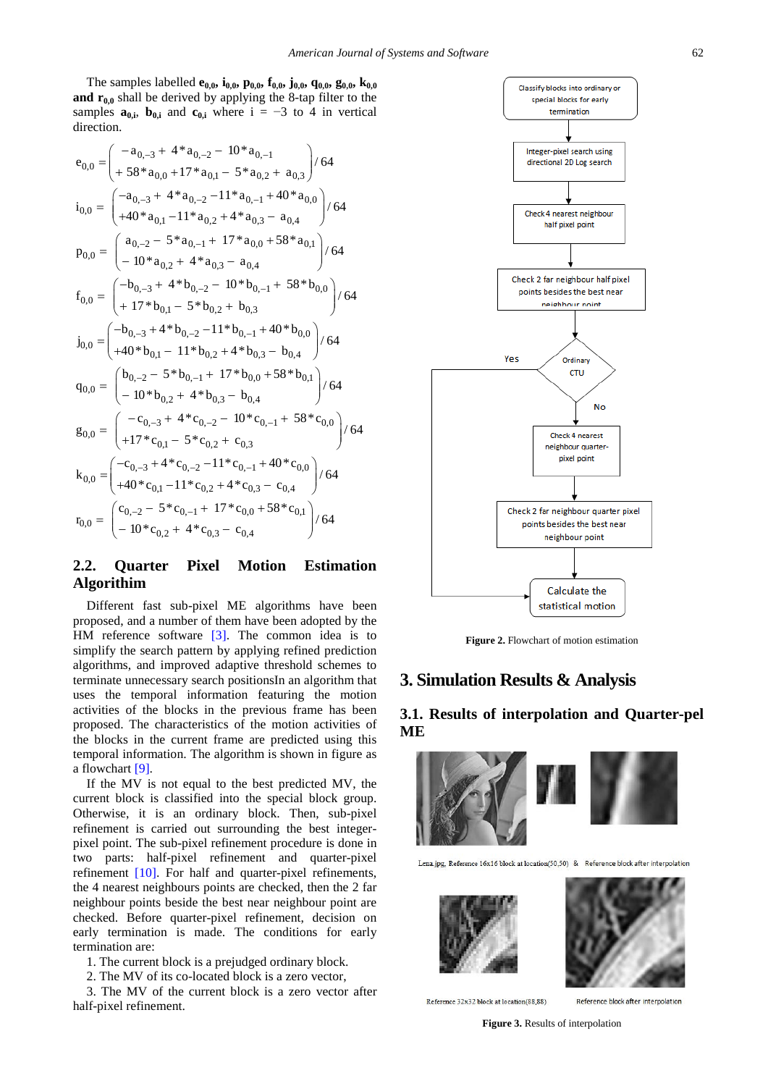The samples labelled **e**<sub>0,0</sub>, **i**<sub>0,0</sub>, **p**<sub>0,0</sub>, **f**<sub>0,0</sub>, **j**<sub>0,0</sub>, **q**<sub>0,0</sub>, **g**<sub>0,0</sub>, **k**<sub>0,0</sub> **and**  $\mathbf{r}_{0,0}$  shall be derived by applying the 8-tap filter to the samples  $\mathbf{a}_{0,i}$ ,  $\mathbf{b}_{0,i}$  and  $\mathbf{c}_{0,i}$  where  $i = -3$  to 4 in vertical direction.

$$
e_{0,0} = \begin{pmatrix} -a_{0,-3} + 4 & a_{0,-2} - 10 & a_{0,-1} \\ + 58 & a_{0,0} + 17 & a_{0,1} - 5 & a_{0,2} + a_{0,3} \end{pmatrix} / 64
$$
  
\n
$$
i_{0,0} = \begin{pmatrix} -a_{0,-3} + 4 & a_{0,-2} - 11 & a_{0,-1} + 40 & a_{0,0} \\ + 40 & a_{0,1} - 11 & a_{0,2} + 4 & a_{0,3} - a_{0,4} \end{pmatrix} / 64
$$
  
\n
$$
p_{0,0} = \begin{pmatrix} a_{0,-2} - 5 & a_{0,-1} + 17 & a_{0,0} + 58 & a_{0,1} \\ -10 & a_{0,2} + 4 & a_{0,3} - a_{0,4} \end{pmatrix} / 64
$$
  
\n
$$
f_{0,0} = \begin{pmatrix} -b_{0,-3} + 4 & b_{0,-2} - 10 & b_{0,-1} + 58 & b_{0,0} \\ + 17 & b_{0,1} - 5 & b_{0,2} + b_{0,3} \end{pmatrix} / 64
$$
  
\n
$$
j_{0,0} = \begin{pmatrix} -b_{0,-3} + 4 & b_{0,-2} - 11 & b_{0,-1} + 40 & b_{0,0} \\ + 40 & b_{0,1} - 11 & b_{0,2} + 4 & b_{0,3} - b_{0,4} \end{pmatrix} / 64
$$
  
\n
$$
q_{0,0} = \begin{pmatrix} b_{0,-2} - 5 & b_{0,-1} + 17 & b_{0,0} + 58 & b_{0,1} \\ -10 & b_{0,2} + 4 & b_{0,3} - b_{0,4} \end{pmatrix} / 64
$$
  
\n
$$
g_{0,0} = \begin{pmatrix} -c_{0,-3} + 4 & c_{0,-2} - 10 & c_{0,-1} + 58 & c_{0,0} \\ +17 & c_{0,1} - 5 & c_{0,2} + c_{0,3} \end{pmatrix} / 64
$$
  
\n
$$
k_{0,0} = \begin{pmatrix} -c_{0,-3} +
$$

## **2.2. Quarter Pixel Motion Estimation Algorithim**

Different fast sub-pixel ME algorithms have been proposed, and a number of them have been adopted by the HM reference software [\[3\].](#page-3-4) The common idea is to simplify the search pattern by applying refined prediction algorithms, and improved adaptive threshold schemes to terminate unnecessary search positionsIn an algorithm that uses the temporal information featuring the motion activities of the blocks in the previous frame has been proposed. The characteristics of the motion activities of the blocks in the current frame are predicted using this temporal information. The algorithm is shown in figure as a flowchart [\[9\].](#page-4-1)

If the MV is not equal to the best predicted MV, the current block is classified into the special block group. Otherwise, it is an ordinary block. Then, sub-pixel refinement is carried out surrounding the best integerpixel point. The sub-pixel refinement procedure is done in two parts: half-pixel refinement and quarter-pixel refinement [\[10\].](#page-4-2) For half and quarter-pixel refinements, the 4 nearest neighbours points are checked, then the 2 far neighbour points beside the best near neighbour point are checked. Before quarter-pixel refinement, decision on early termination is made. The conditions for early termination are:

- 1. The current block is a prejudged ordinary block.
- 2. The MV of its co-located block is a zero vector,

3. The MV of the current block is a zero vector after half-pixel refinement.



**Figure 2.** Flowchart of motion estimation

## **3. Simulation Results & Analysis**

## **3.1. Results of interpolation and Quarter-pel ME**

<span id="page-2-0"></span>

Reference 32x32 block at location(88.88)

Reference block after internolation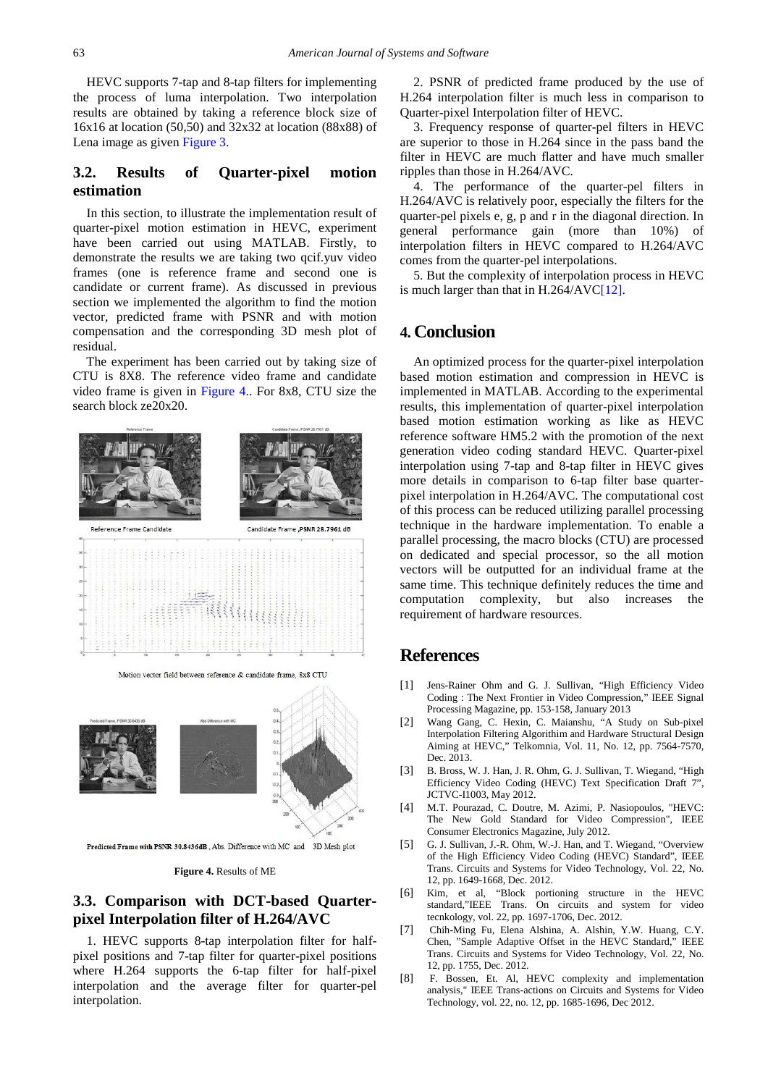HEVC supports 7-tap and 8-tap filters for implementing the process of luma interpolation. Two interpolation results are obtained by taking a reference block size of 16x16 at location (50,50) and 32x32 at location (88x88) of Lena image as given [Figure 3.](#page-2-0)

#### **3.2. Results of Quarter-pixel motion estimation**

In this section, to illustrate the implementation result of quarter-pixel motion estimation in HEVC, experiment have been carried out using MATLAB. Firstly, to demonstrate the results we are taking two qcif.yuv video frames (one is reference frame and second one is candidate or current frame). As discussed in previous section we implemented the algorithm to find the motion vector, predicted frame with PSNR and with motion compensation and the corresponding 3D mesh plot of residual.

The experiment has been carried out by taking size of CTU is 8X8. The reference video frame and candidate video frame is given in [Figure 4.](#page-3-7). For 8x8, CTU size the search block ze20x20.

<span id="page-3-7"></span>

Motion vector field between reference & candidate frame, 8x8 CTU



Predicted Frame with PSNR 30.8436dB, Abs. Difference with MC and 3D Mesh plot

#### **Figure 4.** Results of ME

#### **3.3. Comparison with DCT-based Quarterpixel Interpolation filter of H.264/AVC**

1. HEVC supports 8-tap interpolation filter for halfpixel positions and 7-tap filter for quarter-pixel positions where H.264 supports the 6-tap filter for half-pixel interpolation and the average filter for quarter-pel interpolation.

2. PSNR of predicted frame produced by the use of H.264 interpolation filter is much less in comparison to Quarter-pixel Interpolation filter of HEVC.

3. Frequency response of quarter-pel filters in HEVC are superior to those in H.264 since in the pass band the filter in HEVC are much flatter and have much smaller ripples than those in H.264/AVC.

4. The performance of the quarter-pel filters in H.264/AVC is relatively poor, especially the filters for the quarter-pel pixels e, g, p and r in the diagonal direction. In general performance gain (more than 10%) of interpolation filters in HEVC compared to H.264/AVC comes from the quarter-pel interpolations.

5. But the complexity of interpolation process in HEVC is much larger than that in H.264/AV[C\[12\].](#page-4-3)

#### **4. Conclusion**

An optimized process for the quarter-pixel interpolation based motion estimation and compression in HEVC is implemented in MATLAB. According to the experimental results, this implementation of quarter-pixel interpolation based motion estimation working as like as HEVC reference software HM5.2 with the promotion of the next generation video coding standard HEVC. Quarter-pixel interpolation using 7-tap and 8-tap filter in HEVC gives more details in comparison to 6-tap filter base quarterpixel interpolation in H.264/AVC. The computational cost of this process can be reduced utilizing parallel processing technique in the hardware implementation. To enable a parallel processing, the macro blocks (CTU) are processed on dedicated and special processor, so the all motion vectors will be outputted for an individual frame at the same time. This technique definitely reduces the time and computation complexity, but also increases the requirement of hardware resources.

## **References**

- <span id="page-3-0"></span>[1] Jens-Rainer Ohm and G. J. Sullivan, "High Efficiency Video Coding : The Next Frontier in Video Compression," IEEE Signal Processing Magazine, pp. 153-158, January 2013
- <span id="page-3-1"></span>[2] Wang Gang, C. Hexin, C. Maianshu, "A Study on Sub-pixel Interpolation Filtering Algorithim and Hardware Structural Design Aiming at HEVC," Telkomnia, Vol. 11, No. 12, pp. 7564-7570, Dec. 2013.
- <span id="page-3-4"></span>[3] B. Bross, W. J. Han, J. R. Ohm, G. J. Sullivan, T. Wiegand, "High Efficiency Video Coding (HEVC) Text Specification Draft 7", JCTVC-I1003, May 2012.
- <span id="page-3-5"></span>[4] M.T. Pourazad, C. Doutre, M. Azimi, P. Nasiopoulos, "HEVC: The New Gold Standard for Video Compression", IEEE Consumer Electronics Magazine, July 2012.
- <span id="page-3-2"></span>[5] G. J. Sullivan, J.-R. Ohm, W.-J. Han, and T. Wiegand, "Overview of the High Efficiency Video Coding (HEVC) Standard", IEEE Trans. Circuits and Systems for Video Technology, Vol. 22, No. 12, pp. 1649-1668, Dec. 2012.
- <span id="page-3-6"></span>[6] Kim, et al, "Block portioning structure in the HEVC standard,"IEEE Trans. On circuits and system for video tecnkology, vol. 22, pp. 1697-1706, Dec. 2012.
- <span id="page-3-3"></span>[7] Chih-Ming Fu, Elena Alshina, A. Alshin, Y.W. Huang, C.Y. Chen, "Sample Adaptive Offset in the HEVC Standard," IEEE Trans. Circuits and Systems for Video Technology, Vol. 22, No. 12, pp. 1755, Dec. 2012.
- [8] F. Bossen, Et. Al, HEVC complexity and implementation analysis," IEEE Trans-actions on Circuits and Systems for Video Technology, vol. 22, no. 12, pp. 1685-1696, Dec 2012.